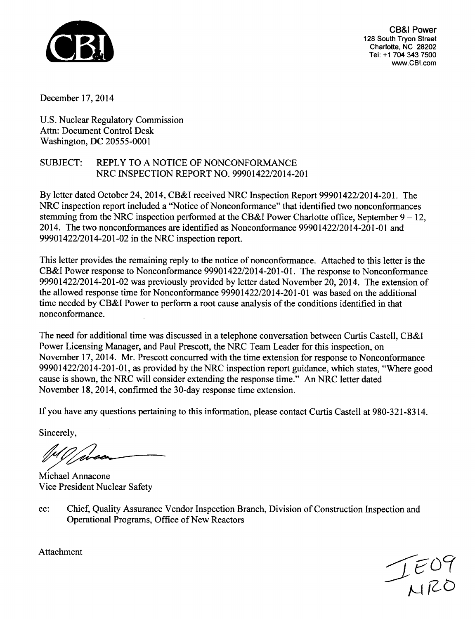

CB&I Power 128 South Tryon Street Charlotte, NC 28202 Tel: +1 704 343 7500 www.CBI.com

December 17, 2014

U.S. Nuclear Regulatory Commission Attn: Document Control Desk Washington, DC 20555-0001

### SUBJECT: REPLY TO A NOTICE OF NONCONFORMANCE NRC INSPECTION REPORT NO. 99901422/2014-201

By letter dated October 24, 2014, CB&I received NRC Inspection Report 99901422/2014-201. The NRC inspection report included a "Notice of Nonconformance" that identified two nonconformances stemming from the NRC inspection performed at the CB&I Power Charlotte office, September  $9 - 12$ , 2014. The two nonconformances are identified as Nonconformance 99901422/2014-201-01 and 99901422/2014-201-02 in the NRC inspection report.

This letter provides the remaining reply to the notice of nonconformance. Attached to this letter is the CB&I Power response to Nonconformance 99901422/2014-201-01. The response to Nonconformance 99901422/2014-201-02 was previously provided by letter dated November 20, 2014. The extension of the allowed response time for Nonconformance 99901422/2014-201-01 was based on the additional time needed by CB&I Power to perform a root cause analysis of the conditions identified in that nonconformance.

The need for additional time was discussed in a telephone conversation between Curtis Castell, CB&I Power Licensing Manager, and Paul Prescott, the NRC Team Leader for this inspection, on November 17, 2014. Mr. Prescott concurred with the time extension for response to Nonconformance 99901422/2014-201-01, as provided by the NRC inspection report guidance, which states, "Where good cause is shown, the NRC will consider extending the response time." An NRC letter dated November 18, 2014, confirmed the 30-day response time extension.

If you have any questions pertaining to this information, please contact Curtis Castell at 980-321-8314.

Sincerely,

Michael Annacone Vice President Nuclear Safety

cc: Chief, Quality Assurance Vendor Inspection Branch, Division of Construction Inspection and Operational Programs, Office of New Reactors



Attachment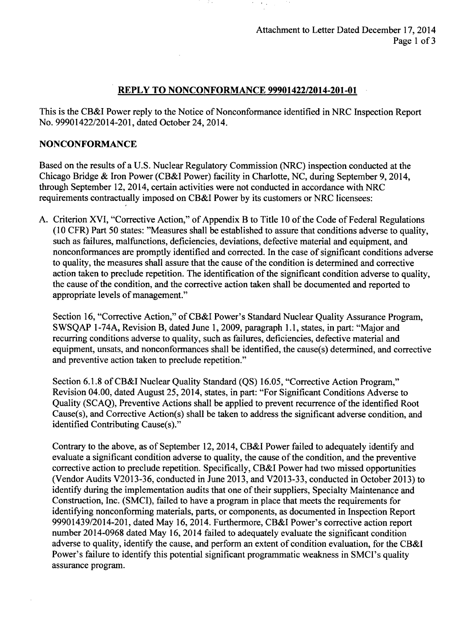#### REPLY TO **NONCONFORMANCE** 99901422/2014-201-01

This is the CB&I Power reply to the Notice of Nonconformance identified in NRC Inspection Report No. 99901422/2014-201, dated October 24, 2014.

#### **NONCONFORMANCE**

Based on the results of a U.S. Nuclear Regulatory Commission (NRC) inspection conducted at the Chicago Bridge & Iron Power (CB&I Power) facility in Charlotte, NC, during September 9, 2014, through September 12, 2014, certain activities were not conducted in accordance with NRC requirements contractually imposed on CB&I Power by its customers or NRC licensees:

A. Criterion XVI, "Corrective Action," of Appendix B to Title 10 of the Code of Federal Regulations (10 CFR) Part 50 states: "Measures shall be established to assure that conditions adverse to quality, such as failures, malfunctions, deficiencies, deviations, defective material and equipment, and nonconformances are promptly identified and corrected. In the case of significant conditions adverse to quality, the measures shall assure that the cause of the condition is determined and corrective action taken to preclude repetition. The identification of the significant condition adverse to quality, the cause of the condition, and the corrective action taken shall be documented and reported to appropriate levels of management."

Section 16, "Corrective Action," of CB&I Power's Standard Nuclear Quality Assurance Program, SWSQAP 1-74A, Revision B, dated June 1, 2009, paragraph 1.1, states, in part: "Major and recurring conditions adverse to quality, such as failures, deficiencies, defective material and equipment, unsats, and nonconformances shall be identified, the cause(s) determined, and corrective and preventive action taken to preclude repetition."

Section 6.1.8 of CB&I Nuclear Quality Standard (QS) 16.05, "Corrective Action Program," Revision 04.00, dated August 25, 2014, states, in part: "For Significant Conditions Adverse to Quality (SCAQ), Preventive Actions shall be applied to prevent recurrence of the identified Root Cause(s), and Corrective Action(s) shall be taken to address the significant adverse condition, and identified Contributing Cause(s)."

Contrary to the above, as of September 12, 2014, CB&I Power failed to adequately identify and evaluate a significant condition adverse to quality, the cause of the condition, and the preventive corrective action to preclude repetition. Specifically, CB&I Power had two missed opportunities (Vendor Audits V2013-36, conducted in June 2013, and V2013-33, conducted in October 2013) to identify during the implementation audits that one of their suppliers, Specialty Maintenance and Construction, Inc. (SMCI), failed to have a program in place that meets the requirements for identifying nonconforming materials, parts, or components, as documented in Inspection Report 99901439/2014-201, dated May 16, 2014. Furthermore, CB&I Power's corrective action report number 2014-0968 dated May 16, 2014 failed to adequately evaluate the significant condition adverse to quality, identify the cause, and perform an extent of condition evaluation, for the CB&I Power's failure to identify this potential significant programmatic weakness in SMCI's quality assurance program.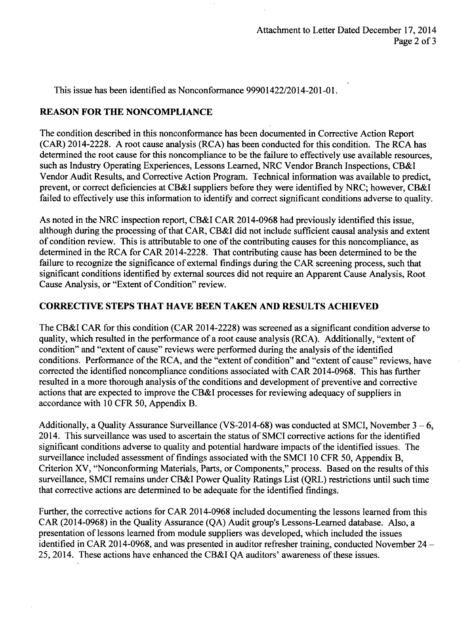This issue has been identified as Nonconformance 99901422/2014-201-01.

## REASON FOR THE **NONCOMPLIANCE**

The condition described in this nonconformance has been documented in Corrective Action Report (CAR) 2014-2228. A root cause analysis (RCA) has been conducted for this condition. The RCA has determined the root cause for this noncompliance to be the failure to effectively use available resources. such as Industry Operating Experiences, Lessons Learned, NRC Vendor Branch Inspections, CB&I Vendor Audit Results, and Corrective Action Program. Technical information was available to predict, prevent, or correct deficiencies at CB&I suppliers before they were identified by NRC; however, CB&I failed to effectively use this information to identify and correct significant conditions adverse to quality.

As noted in the NRC inspection report, CB&I CAR 2014-0968 had previously identified this issue, although during the processing of that CAR, CB&I did not include sufficient causal analysis and extent of condition review. This is attributable to one of the contributing causes for this noncompliance, as determined in the RCA for CAR 2014-2228. That contributing cause has been determined to be the failure to recognize the significance of external findings during the CAR screening process, such that significant conditions identified by external sources did not require an Apparent Cause Analysis, Root Cause Analysis, or "Extent of Condition" review.

## CORRECTIVE **STEPS** THAT **HAVE BEEN TAKEN AND RESULTS ACHIEVED**

The CB&I CAR for this condition (CAR 2014-2228) was screened as a significant condition adverse to quality, which resulted in the performance of a root cause analysis (RCA). Additionally, "extent of condition" and "extent of cause" reviews were performed during the analysis of the identified conditions. Performance of the RCA, and the "extent of condition" and "extent of cause" reviews, have corrected the identified noncompliance conditions associated with CAR 2014-0968. This has further resulted in a more thorough analysis of the conditions and development of preventive and corrective actions that are expected to improve the CB&I processes for reviewing adequacy of suppliers in accordance with 10 CFR 50, Appendix B.

Additionally, a Quality Assurance Surveillance (VS-2014-68) was conducted at SMCI, November  $3 - 6$ , 2014. This surveillance was used to ascertain the status of SMCI corrective actions for the identified significant conditions adverse to quality and potential hardware impacts of the identified issues. The surveillance included assessment of findings associated with the SMCI 10 CFR 50, Appendix B, Criterion XV, "Nonconforming Materials, Parts, or Components," process. Based on the results of this surveillance, SMCI remains under CB&I Power Quality Ratings List (QRL) restrictions until such time that corrective actions are determined to be adequate for the identified findings.

Further, the corrective actions for CAR 2014-0968 included documenting the lessons learned from this CAR (2014-0968) in the Quality Assurance (QA) Audit group's Lessons-Learned database. Also, a presentation of lessons learned from module suppliers was developed, which included the issues identified in CAR 2014-0968, and was presented in auditor refresher training, conducted November  $24 -$ 25, 2014. These actions have enhanced the CB&I QA auditors' awareness of these issues.